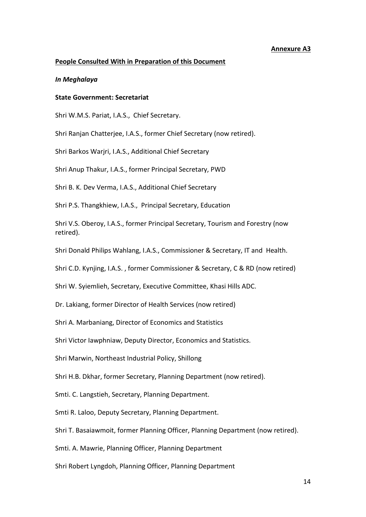# **Annexure A3**

## **People Consulted With in Preparation of this Document**

#### *In Meghalaya*

# **State Government: Secretariat**

Shri W.M.S. Pariat, I.A.S., Chief Secretary.

Shri Ranjan Chatterjee, I.A.S., former Chief Secretary (now retired).

Shri Barkos Warjri, I.A.S., Additional Chief Secretary

Shri Anup Thakur, I.A.S., former Principal Secretary, PWD

Shri B. K. Dev Verma, I.A.S., Additional Chief Secretary

Shri P.S. Thangkhiew, I.A.S., Principal Secretary, Education

Shri V.S. Oberoy, I.A.S., former Principal Secretary, Tourism and Forestry (now retired).

Shri Donald Philips Wahlang, I.A.S., Commissioner & Secretary, IT and Health.

Shri C.D. Kynjing, I.A.S. , former Commissioner & Secretary, C & RD (now retired)

Shri W. Syiemlieh, Secretary, Executive Committee, Khasi Hills ADC.

Dr. Lakiang, former Director of Health Services (now retired)

Shri A. Marbaniang, Director of Economics and Statistics

Shri Victor Iawphniaw, Deputy Director, Economics and Statistics.

Shri Marwin, Northeast Industrial Policy, Shillong

Shri H.B. Dkhar, former Secretary, Planning Department (now retired).

Smti. C. Langstieh, Secretary, Planning Department.

Smti R. Laloo, Deputy Secretary, Planning Department.

Shri T. Basaiawmoit, former Planning Officer, Planning Department (now retired).

Smti. A. Mawrie, Planning Officer, Planning Department

Shri Robert Lyngdoh, Planning Officer, Planning Department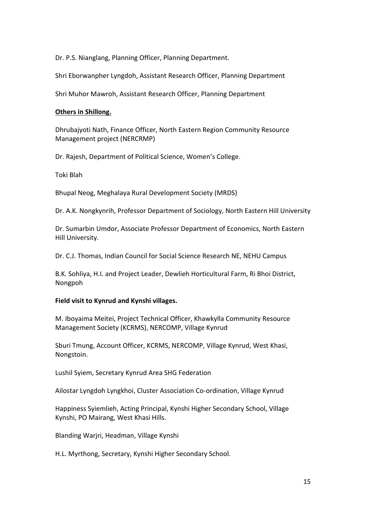Dr. P.S. Nianglang, Planning Officer, Planning Department.

Shri Eborwanpher Lyngdoh, Assistant Research Officer, Planning Department

Shri Muhor Mawroh, Assistant Research Officer, Planning Department

# **Others in Shillong.**

Dhrubajyoti Nath, Finance Officer, North Eastern Region Community Resource Management project (NERCRMP)

Dr. Rajesh, Department of Political Science, Women's College.

Toki Blah

Bhupal Neog, Meghalaya Rural Development Society (MRDS)

Dr. A.K. Nongkynrih, Professor Department of Sociology, North Eastern Hill University

Dr. Sumarbin Umdor, Associate Professor Department of Economics, North Eastern Hill University.

Dr. C.J. Thomas, Indian Council for Social Science Research NE, NEHU Campus

B.K. Sohliya, H.I. and Project Leader, Dewlieh Horticultural Farm, Ri Bhoi District, Nongpoh

## **Field visit to Kynrud and Kynshi villages.**

M. Iboyaima Meitei, Project Technical Officer, Khawkylla Community Resource Management Society (KCRMS), NERCOMP, Village Kynrud

Sburi Tmung, Account Officer, KCRMS, NERCOMP, Village Kynrud, West Khasi, Nongstoin.

Lushil Syiem, Secretary Kynrud Area SHG Federation

Ailostar Lyngdoh Lyngkhoi, Cluster Association Co-ordination, Village Kynrud

Happiness Syiemlieh, Acting Principal, Kynshi Higher Secondary School, Village Kynshi, PO Mairang, West Khasi Hills.

Blanding Warjri, Headman, Village Kynshi

H.L. Myrthong, Secretary, Kynshi Higher Secondary School.